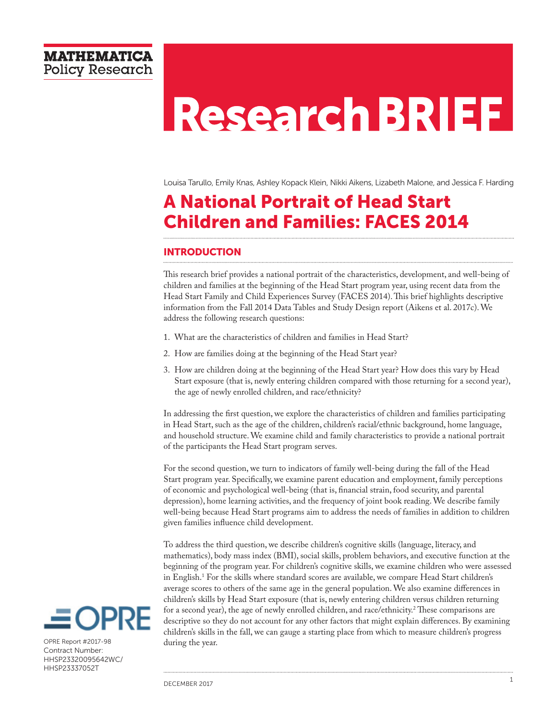# **Research BRIEF**

Louisa Tarullo, Emily Knas, Ashley Kopack Klein, Nikki Aikens, Lizabeth Malone, and Jessica F. Harding

# A National Portrait of Head Start Children and Families: FACES 2014

# **INTRODUCTION**

This research brief provides a national portrait of the characteristics, development, and well-being of children and families at the beginning of the Head Start program year, using recent data from the Head Start Family and Child Experiences Survey (FACES 2014). This brief highlights descriptive information from the Fall 2014 Data Tables and Study Design report (Aikens et al. 2017c). We address the following research questions:

- 1. What are the characteristics of children and families in Head Start?
- 2. How are families doing at the beginning of the Head Start year?
- 3. How are children doing at the beginning of the Head Start year? How does this vary by Head Start exposure (that is, newly entering children compared with those returning for a second year), the age of newly enrolled children, and race/ethnicity?

In addressing the first question, we explore the characteristics of children and families participating in Head Start, such as the age of the children, children's racial/ethnic background, home language, and household structure. We examine child and family characteristics to provide a national portrait of the participants the Head Start program serves.

For the second question, we turn to indicators of family well-being during the fall of the Head Start program year. Specifically, we examine parent education and employment, family perceptions of economic and psychological well-being (that is, financial strain, food security, and parental depression), home learning activities, and the frequency of joint book reading. We describe family well-being because Head Start programs aim to address the needs of families in addition to children given families influence child development.

To address the third question, we describe children's cognitive skills (language, literacy, and mathematics), body mass index (BMI), social skills, problem behaviors, and executive function at the beginning of the program year. For children's cognitive skills, we examine children who were assessed in English.1 For the skills where standard scores are available, we compare Head Start children's average scores to others of the same age in the general population. We also examine differences in children's skills by Head Start exposure (that is, newly entering children versus children returning for a second year), the age of newly enrolled children, and race/ethnicity.<sup>2</sup> These comparisons are descriptive so they do not account for any other factors that might explain differences. By examining children's skills in the fall, we can gauge a starting place from which to measure children's progress during the year.



OPRE Report #2017-98 Contract Number: HHSP23320095642WC/ HHSP23337052T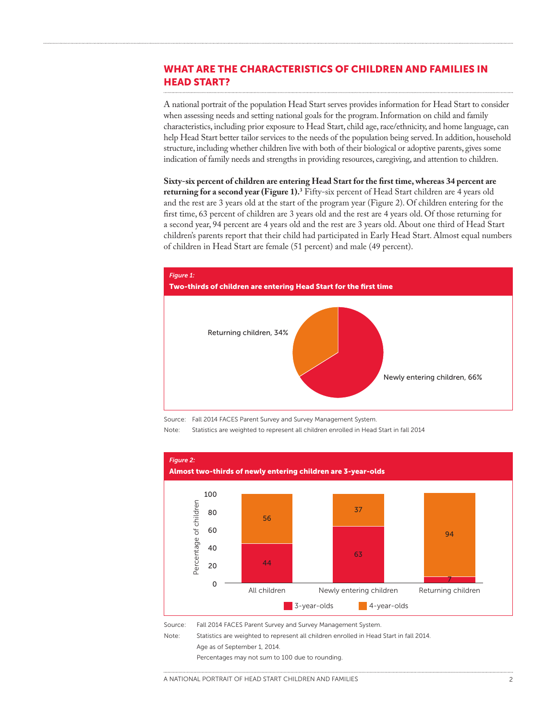# WHAT ARE THE CHARACTERISTICS OF CHILDREN AND FAMILIES IN HEAD START?

A national portrait of the population Head Start serves provides information for Head Start to consider when assessing needs and setting national goals for the program. Information on child and family characteristics, including prior exposure to Head Start, child age, race/ethnicity, and home language, can help Head Start better tailor services to the needs of the population being served. In addition, household structure, including whether children live with both of their biological or adoptive parents, gives some indication of family needs and strengths in providing resources, caregiving, and attention to children.

**Sixty-six percent of children are entering Head Start for the first time, whereas 34 percent are returning for a second year (Figure 1).**<sup>3</sup> Fifty-six percent of Head Start children are 4 years old and the rest are 3 years old at the start of the program year (Figure 2). Of children entering for the first time, 63 percent of children are 3 years old and the rest are 4 years old. Of those returning for a second year, 94 percent are 4 years old and the rest are 3 years old. About one third of Head Start children's parents report that their child had participated in Early Head Start. Almost equal numbers of children in Head Start are female (51 percent) and male (49 percent).



Source: Fall 2014 FACES Parent Survey and Survey Management System.

Note: Statistics are weighted to represent all children enrolled in Head Start in fall 2014



Source: Fall 2014 FACES Parent Survey and Survey Management System.

Note: Statistics are weighted to represent all children enrolled in Head Start in fall 2014.

Age as of September 1, 2014.

Percentages may not sum to 100 due to rounding.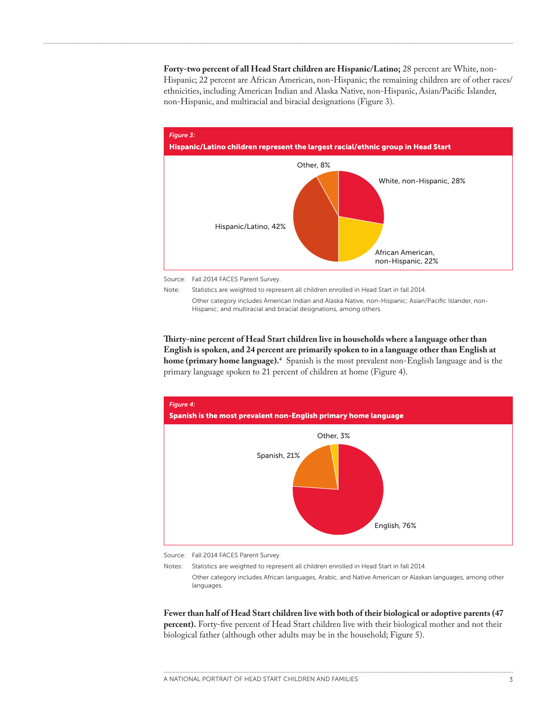**Forty-two percent of all Head Start children are Hispanic/Latino;** 28 percent are White, non-Hispanic; 22 percent are African American, non-Hispanic; the remaining children are of other races/ ethnicities, including American Indian and Alaska Native, non-Hispanic, Asian/Pacific Islander, non-Hispanic, and multiracial and biracial designations (Figure 3).



Source: Fall 2014 FACES Parent Survey.

Note: Statistics are weighted to represent all children enrolled in Head Start in fall 2014. Other category includes American Indian and Alaska Native, non-Hispanic; Asian/Pacific Islander, non-Hispanic; and multiracial and biracial designations, among others.

**Thirty-nine percent of Head Start children live in households where a language other than English is spoken, and 24 percent are primarily spoken to in a language other than English at home (primary home language).4** Spanish is the most prevalent non-English language and is the primary language spoken to 21 percent of children at home (Figure 4).



Source: Fall 2014 FACES Parent Survey.

Notes: Statistics are weighted to represent all children enrolled in Head Start in fall 2014. Other category includes African languages, Arabic, and Native American or Alaskan languages, among other languages.

**Fewer than half of Head Start children live with both of their biological or adoptive parents (47 percent).** Forty-five percent of Head Start children live with their biological mother and not their biological father (although other adults may be in the household; Figure 5).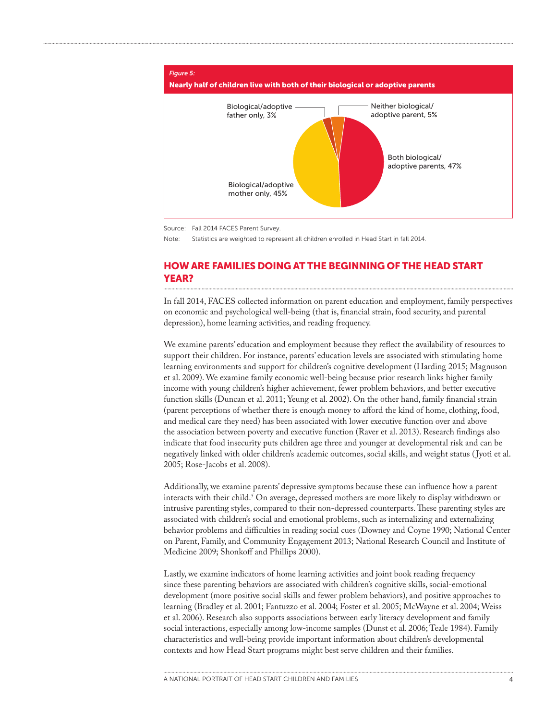

Source: Fall 2014 FACES Parent Survey.

Note: Statistics are weighted to represent all children enrolled in Head Start in fall 2014.

# HOW ARE FAMILIES DOING AT THE BEGINNING OF THE HEAD START YEAR?

In fall 2014, FACES collected information on parent education and employment, family perspectives on economic and psychological well-being (that is, financial strain, food security, and parental depression), home learning activities, and reading frequency.

We examine parents' education and employment because they reflect the availability of resources to support their children. For instance, parents' education levels are associated with stimulating home learning environments and support for children's cognitive development (Harding 2015; Magnuson et al. 2009). We examine family economic well-being because prior research links higher family income with young children's higher achievement, fewer problem behaviors, and better executive function skills (Duncan et al. 2011; Yeung et al. 2002). On the other hand, family financial strain (parent perceptions of whether there is enough money to afford the kind of home, clothing, food, and medical care they need) has been associated with lower executive function over and above the association between poverty and executive function (Raver et al. 2013). Research findings also indicate that food insecurity puts children age three and younger at developmental risk and can be negatively linked with older children's academic outcomes, social skills, and weight status ( Jyoti et al. 2005; Rose-Jacobs et al. 2008).

Additionally, we examine parents' depressive symptoms because these can influence how a parent interacts with their child.5 On average, depressed mothers are more likely to display withdrawn or intrusive parenting styles, compared to their non-depressed counterparts. These parenting styles are associated with children's social and emotional problems, such as internalizing and externalizing behavior problems and difficulties in reading social cues (Downey and Coyne 1990; National Center on Parent, Family, and Community Engagement 2013; National Research Council and Institute of Medicine 2009; Shonkoff and Phillips 2000).

Lastly, we examine indicators of home learning activities and joint book reading frequency since these parenting behaviors are associated with children's cognitive skills, social-emotional development (more positive social skills and fewer problem behaviors), and positive approaches to learning (Bradley et al. 2001; Fantuzzo et al. 2004; Foster et al. 2005; McWayne et al. 2004; Weiss et al. 2006). Research also supports associations between early literacy development and family social interactions, especially among low-income samples (Dunst et al. 2006; Teale 1984). Family characteristics and well-being provide important information about children's developmental contexts and how Head Start programs might best serve children and their families.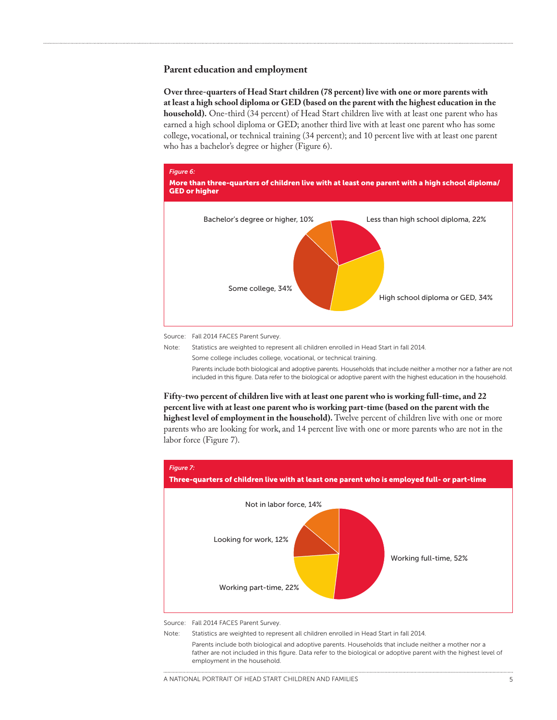#### **Parent education and employment**

**Over three-quarters of Head Start children (78 percent) live with one or more parents with at least a high school diploma or GED (based on the parent with the highest education in the household).** One-third (34 percent) of Head Start children live with at least one parent who has earned a high school diploma or GED; another third live with at least one parent who has some college, vocational, or technical training (34 percent); and 10 percent live with at least one parent who has a bachelor's degree or higher (Figure 6).



Source: Fall 2014 FACES Parent Survey.

Note: Statistics are weighted to represent all children enrolled in Head Start in fall 2014.

Some college includes college, vocational, or technical training.

Parents include both biological and adoptive parents. Households that include neither a mother nor a father are not included in this figure. Data refer to the biological or adoptive parent with the highest education in the household.

**Fifty-two percent of children live with at least one parent who is working full-time, and 22 percent live with at least one parent who is working part-time (based on the parent with the highest level of employment in the household).** Twelve percent of children live with one or more parents who are looking for work, and 14 percent live with one or more parents who are not in the labor force (Figure 7).



Source: Fall 2014 FACES Parent Survey.

Note: Statistics are weighted to represent all children enrolled in Head Start in fall 2014.

Parents include both biological and adoptive parents. Households that include neither a mother nor a father are not included in this figure. Data refer to the biological or adoptive parent with the highest level of employment in the household.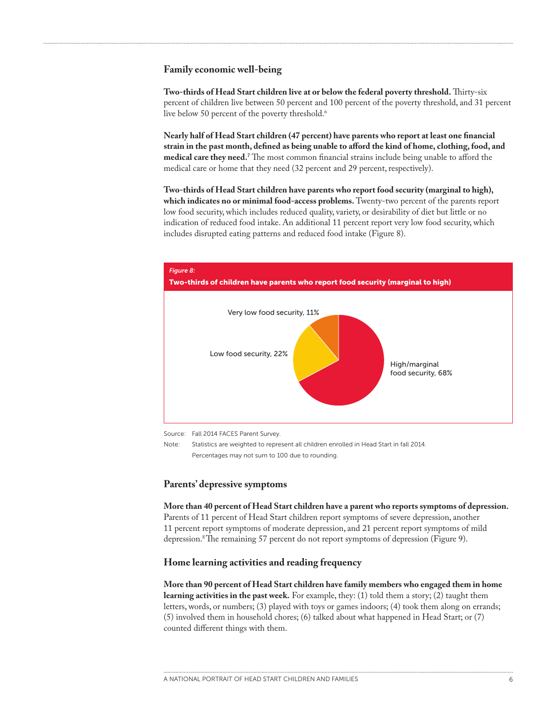#### **Family economic well-being**

**Two-thirds of Head Start children live at or below the federal poverty threshold.** Thirty-six percent of children live between 50 percent and 100 percent of the poverty threshold, and 31 percent live below 50 percent of the poverty threshold.<sup>6</sup>

**Nearly half of Head Start children (47 percent) have parents who report at least one financial strain in the past month, defined as being unable to afford the kind of home, clothing, food, and medical care they need.7** The most common financial strains include being unable to afford the medical care or home that they need (32 percent and 29 percent, respectively).

**Two-thirds of Head Start children have parents who report food security (marginal to high), which indicates no or minimal food-access problems.** Twenty-two percent of the parents report low food security, which includes reduced quality, variety, or desirability of diet but little or no indication of reduced food intake. An additional 11 percent report very low food security, which includes disrupted eating patterns and reduced food intake (Figure 8).



Source: Fall 2014 FACES Parent Survey.

Note: Statistics are weighted to represent all children enrolled in Head Start in fall 2014. Percentages may not sum to 100 due to rounding.

#### **Parents' depressive symptoms**

**More than 40 percent of Head Start children have a parent who reports symptoms of depression.**  Parents of 11 percent of Head Start children report symptoms of severe depression, another 11 percent report symptoms of moderate depression, and 21 percent report symptoms of mild depression.8 The remaining 57 percent do not report symptoms of depression (Figure 9).

### **Home learning activities and reading frequency**

**More than 90 percent of Head Start children have family members who engaged them in home learning activities in the past week.** For example, they: (1) told them a story; (2) taught them letters, words, or numbers; (3) played with toys or games indoors; (4) took them along on errands; (5) involved them in household chores; (6) talked about what happened in Head Start; or (7) counted different things with them.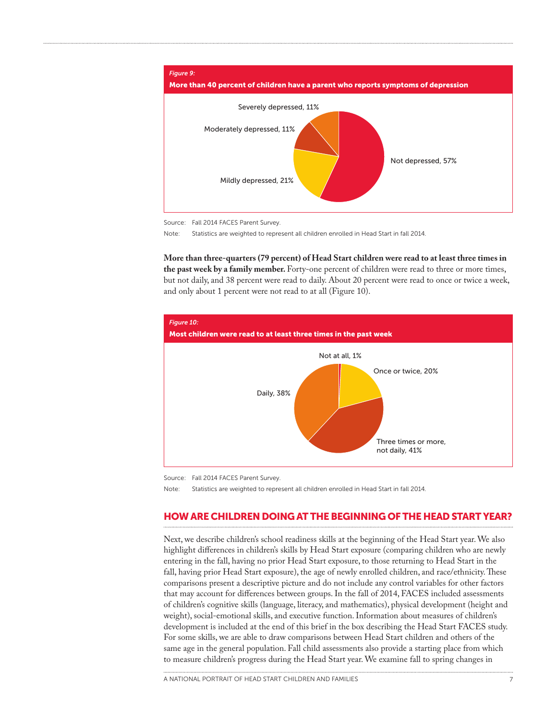

Source: Fall 2014 FACES Parent Survey.

Note: Statistics are weighted to represent all children enrolled in Head Start in fall 2014.

**More than three-quarters (79 percent) of Head Start children were read to at least three times in the past week by a family member.** Forty-one percent of children were read to three or more times, but not daily, and 38 percent were read to daily. About 20 percent were read to once or twice a week, and only about 1 percent were not read to at all (Figure 10).



Source: Fall 2014 FACES Parent Survey.

Note: Statistics are weighted to represent all children enrolled in Head Start in fall 2014.

# HOW ARE CHILDREN DOING AT THE BEGINNING OF THE HEAD START YEAR?

Next, we describe children's school readiness skills at the beginning of the Head Start year. We also highlight differences in children's skills by Head Start exposure (comparing children who are newly entering in the fall, having no prior Head Start exposure, to those returning to Head Start in the fall, having prior Head Start exposure), the age of newly enrolled children, and race/ethnicity. These comparisons present a descriptive picture and do not include any control variables for other factors that may account for differences between groups. In the fall of 2014, FACES included assessments of children's cognitive skills (language, literacy, and mathematics), physical development (height and weight), social-emotional skills, and executive function. Information about measures of children's development is included at the end of this brief in the box describing the Head Start FACES study. For some skills, we are able to draw comparisons between Head Start children and others of the same age in the general population. Fall child assessments also provide a starting place from which to measure children's progress during the Head Start year. We examine fall to spring changes in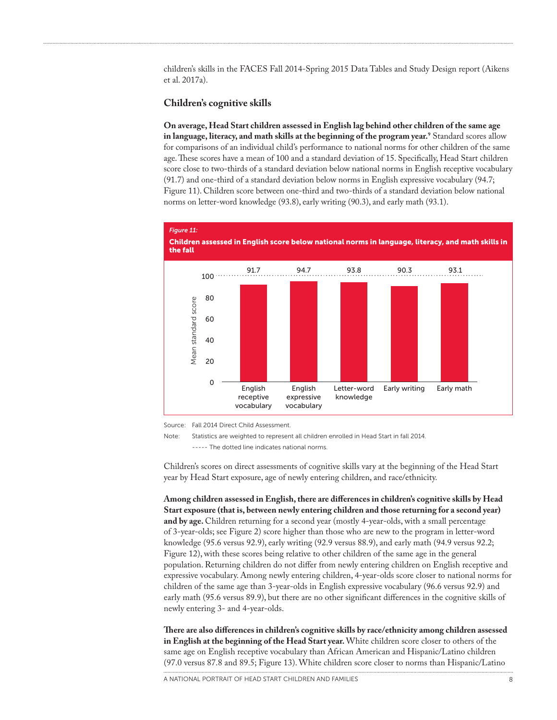children's skills in the FACES Fall 2014-Spring 2015 Data Tables and Study Design report (Aikens et al. 2017a).

#### **Children's cognitive skills**

**On average, Head Start children assessed in English lag behind other children of the same age in language, literacy, and math skills at the beginning of the program year.9** Standard scores allow for comparisons of an individual child's performance to national norms for other children of the same age. These scores have a mean of 100 and a standard deviation of 15. Specifically, Head Start children score close to two-thirds of a standard deviation below national norms in English receptive vocabulary (91.7) and one-third of a standard deviation below norms in English expressive vocabulary (94.7; Figure 11). Children score between one-third and two-thirds of a standard deviation below national norms on letter-word knowledge (93.8), early writing (90.3), and early math (93.1).



Source: Fall 2014 Direct Child Assessment.

Children's scores on direct assessments of cognitive skills vary at the beginning of the Head Start year by Head Start exposure, age of newly entering children, and race/ethnicity.

**Among children assessed in English, there are differences in children's cognitive skills by Head Start exposure (that is, between newly entering children and those returning for a second year) and by age.** Children returning for a second year (mostly 4-year-olds, with a small percentage of 3-year-olds; see Figure 2) score higher than those who are new to the program in letter-word knowledge (95.6 versus 92.9), early writing (92.9 versus 88.9), and early math (94.9 versus 92.2; Figure 12), with these scores being relative to other children of the same age in the general population. Returning children do not differ from newly entering children on English receptive and expressive vocabulary. Among newly entering children, 4-year-olds score closer to national norms for children of the same age than 3-year-olds in English expressive vocabulary (96.6 versus 92.9) and early math (95.6 versus 89.9), but there are no other significant differences in the cognitive skills of newly entering 3- and 4-year-olds.

**There are also differences in children's cognitive skills by race/ethnicity among children assessed in English at the beginning of the Head Start year.** White children score closer to others of the same age on English receptive vocabulary than African American and Hispanic/Latino children (97.0 versus 87.8 and 89.5; Figure 13). White children score closer to norms than Hispanic/Latino

Note: Statistics are weighted to represent all children enrolled in Head Start in fall 2014. ----- The dotted line indicates national norms.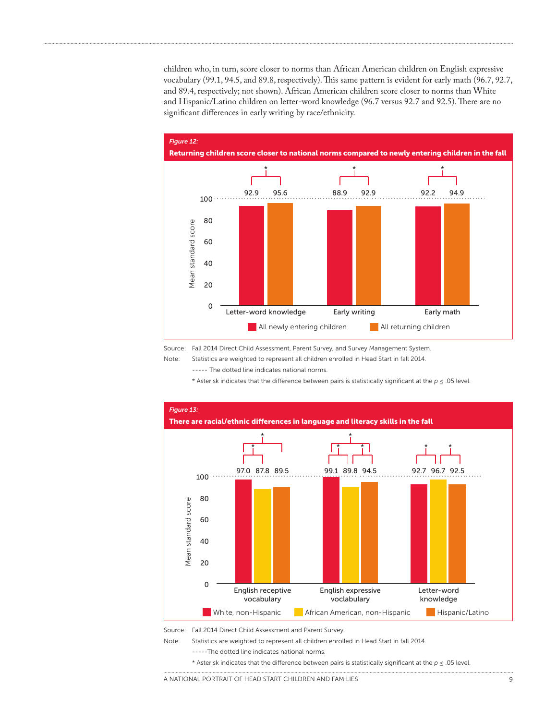children who, in turn, score closer to norms than African American children on English expressive vocabulary (99.1, 94.5, and 89.8, respectively). This same pattern is evident for early math (96.7, 92.7, and 89.4, respectively; not shown). African American children score closer to norms than White and Hispanic/Latino children on letter-word knowledge (96.7 versus 92.7 and 92.5). There are no significant differences in early writing by race/ethnicity.



Source: Fall 2014 Direct Child Assessment, Parent Survey, and Survey Management System.

Note: Statistics are weighted to represent all children enrolled in Head Start in fall 2014.

----- The dotted line indicates national norms.

\* Asterisk indicates that the difference between pairs is statistically significant at the *p* ≤ .05 level.



Source: Fall 2014 Direct Child Assessment and Parent Survey.

Note: Statistics are weighted to represent all children enrolled in Head Start in fall 2014.

-----The dotted line indicates national norms.

\* Asterisk indicates that the difference between pairs is statistically significant at the *p* ≤ .05 level.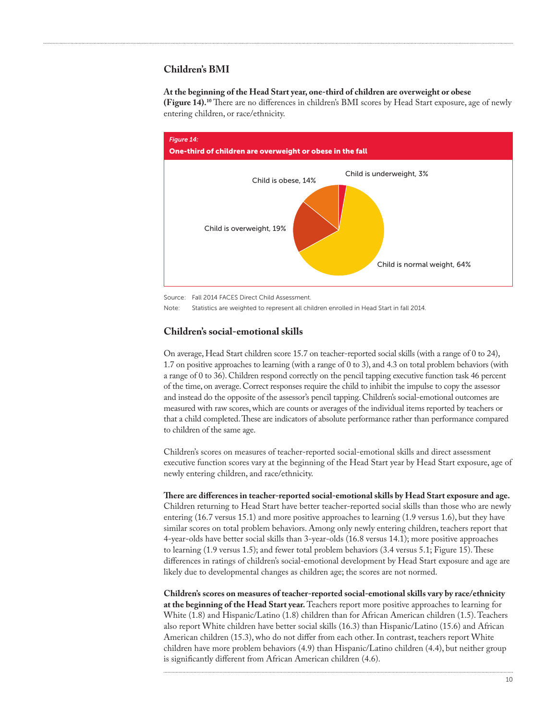# **Children's BMI**

#### **At the beginning of the Head Start year, one-third of children are overweight or obese**

**(Figure 14).10** There are no differences in children's BMI scores by Head Start exposure, age of newly entering children, or race/ethnicity.



Source: Fall 2014 FACES Direct Child Assessment.

Note: Statistics are weighted to represent all children enrolled in Head Start in fall 2014.

#### **Children's social-emotional skills**

On average, Head Start children score 15.7 on teacher-reported social skills (with a range of 0 to 24), 1.7 on positive approaches to learning (with a range of 0 to 3), and 4.3 on total problem behaviors (with a range of 0 to 36). Children respond correctly on the pencil tapping executive function task 46 percent of the time, on average. Correct responses require the child to inhibit the impulse to copy the assessor and instead do the opposite of the assessor's pencil tapping. Children's social-emotional outcomes are measured with raw scores, which are counts or averages of the individual items reported by teachers or that a child completed. These are indicators of absolute performance rather than performance compared to children of the same age.

Children's scores on measures of teacher-reported social-emotional skills and direct assessment executive function scores vary at the beginning of the Head Start year by Head Start exposure, age of newly entering children, and race/ethnicity.

**There are differences in teacher-reported social-emotional skills by Head Start exposure and age.**  Children returning to Head Start have better teacher-reported social skills than those who are newly entering (16.7 versus 15.1) and more positive approaches to learning (1.9 versus 1.6), but they have similar scores on total problem behaviors. Among only newly entering children, teachers report that 4-year-olds have better social skills than 3-year-olds (16.8 versus 14.1); more positive approaches to learning (1.9 versus 1.5); and fewer total problem behaviors (3.4 versus 5.1; Figure 15). These differences in ratings of children's social-emotional development by Head Start exposure and age are likely due to developmental changes as children age; the scores are not normed.

**Children's scores on measures of teacher-reported social-emotional skills vary by race/ethnicity at the beginning of the Head Start year.** Teachers report more positive approaches to learning for White (1.8) and Hispanic/Latino (1.8) children than for African American children (1.5). Teachers also report White children have better social skills (16.3) than Hispanic/Latino (15.6) and African American children (15.3), who do not differ from each other. In contrast, teachers report White children have more problem behaviors (4.9) than Hispanic/Latino children (4.4), but neither group is significantly different from African American children (4.6).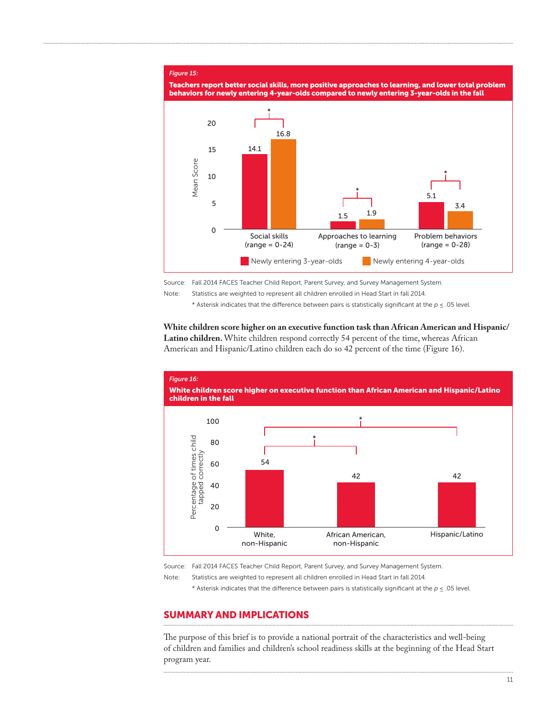#### *Figure 15:*



Source: Fall 2014 FACES Teacher Child Report, Parent Survey, and Survey Management System.

Note: Statistics are weighted to represent all children enrolled in Head Start in fall 2014.

\* Asterisk indicates that the difference between pairs is statistically significant at the *p* ≤ .05 level.

**White children score higher on an executive function task than African American and Hispanic/ Latino children.** White children respond correctly 54 percent of the time, whereas African American and Hispanic/Latino children each do so 42 percent of the time (Figure 16).



Source: Fall 2014 FACES Teacher Child Report, Parent Survey, and Survey Management System.

Note: Statistics are weighted to represent all children enrolled in Head Start in fall 2014.

\* Asterisk indicates that the difference between pairs is statistically significant at the *p* < .05 level.

# SUMMARY AND IMPLICATIONS

The purpose of this brief is to provide a national portrait of the characteristics and well-being of children and families and children's school readiness skills at the beginning of the Head Start program year.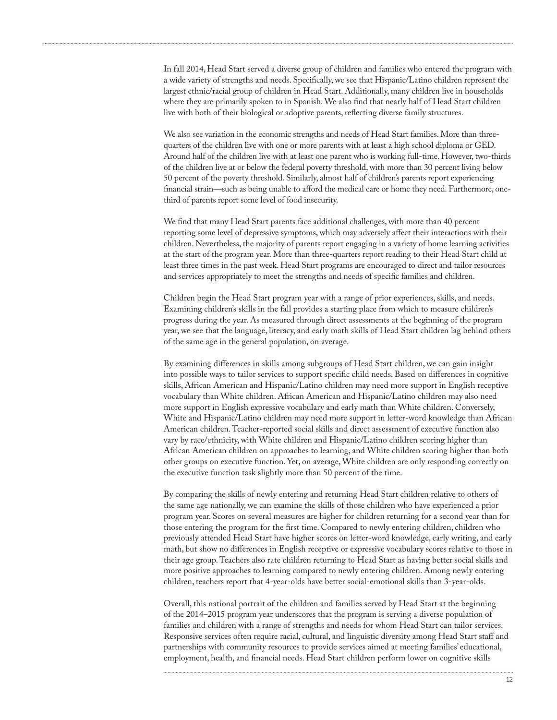In fall 2014, Head Start served a diverse group of children and families who entered the program with a wide variety of strengths and needs. Specifically, we see that Hispanic/Latino children represent the largest ethnic/racial group of children in Head Start. Additionally, many children live in households where they are primarily spoken to in Spanish. We also find that nearly half of Head Start children live with both of their biological or adoptive parents, reflecting diverse family structures.

We also see variation in the economic strengths and needs of Head Start families. More than threequarters of the children live with one or more parents with at least a high school diploma or GED. Around half of the children live with at least one parent who is working full-time. However, two-thirds of the children live at or below the federal poverty threshold, with more than 30 percent living below 50 percent of the poverty threshold. Similarly, almost half of children's parents report experiencing financial strain—such as being unable to afford the medical care or home they need. Furthermore, onethird of parents report some level of food insecurity.

We find that many Head Start parents face additional challenges, with more than 40 percent reporting some level of depressive symptoms, which may adversely affect their interactions with their children. Nevertheless, the majority of parents report engaging in a variety of home learning activities at the start of the program year. More than three-quarters report reading to their Head Start child at least three times in the past week. Head Start programs are encouraged to direct and tailor resources and services appropriately to meet the strengths and needs of specific families and children.

Children begin the Head Start program year with a range of prior experiences, skills, and needs. Examining children's skills in the fall provides a starting place from which to measure children's progress during the year. As measured through direct assessments at the beginning of the program year, we see that the language, literacy, and early math skills of Head Start children lag behind others of the same age in the general population, on average.

By examining differences in skills among subgroups of Head Start children, we can gain insight into possible ways to tailor services to support specific child needs. Based on differences in cognitive skills, African American and Hispanic/Latino children may need more support in English receptive vocabulary than White children. African American and Hispanic/Latino children may also need more support in English expressive vocabulary and early math than White children. Conversely, White and Hispanic/Latino children may need more support in letter-word knowledge than African American children. Teacher-reported social skills and direct assessment of executive function also vary by race/ethnicity, with White children and Hispanic/Latino children scoring higher than African American children on approaches to learning, and White children scoring higher than both other groups on executive function. Yet, on average, White children are only responding correctly on the executive function task slightly more than 50 percent of the time.

By comparing the skills of newly entering and returning Head Start children relative to others of the same age nationally, we can examine the skills of those children who have experienced a prior program year. Scores on several measures are higher for children returning for a second year than for those entering the program for the first time. Compared to newly entering children, children who previously attended Head Start have higher scores on letter-word knowledge, early writing, and early math, but show no differences in English receptive or expressive vocabulary scores relative to those in their age group. Teachers also rate children returning to Head Start as having better social skills and more positive approaches to learning compared to newly entering children. Among newly entering children, teachers report that 4-year-olds have better social-emotional skills than 3-year-olds.

Overall, this national portrait of the children and families served by Head Start at the beginning of the 2014–2015 program year underscores that the program is serving a diverse population of families and children with a range of strengths and needs for whom Head Start can tailor services. Responsive services often require racial, cultural, and linguistic diversity among Head Start staff and partnerships with community resources to provide services aimed at meeting families' educational, employment, health, and financial needs. Head Start children perform lower on cognitive skills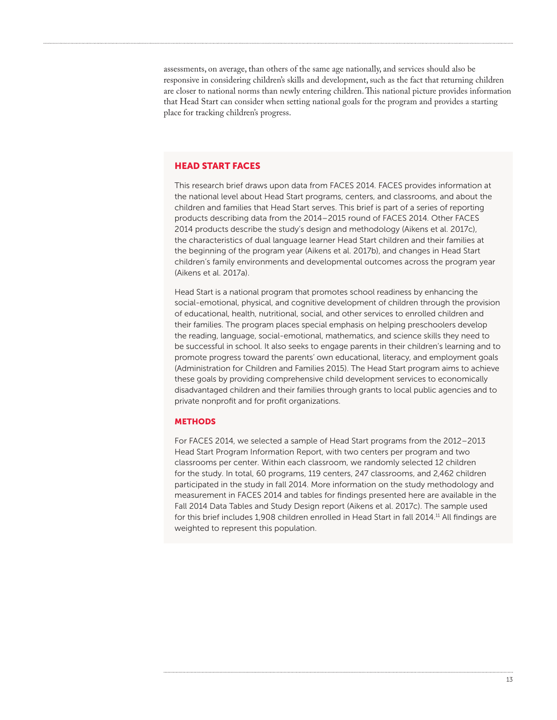assessments, on average, than others of the same age nationally, and services should also be responsive in considering children's skills and development, such as the fact that returning children are closer to national norms than newly entering children. This national picture provides information that Head Start can consider when setting national goals for the program and provides a starting place for tracking children's progress.

#### HEAD START FACES

This research brief draws upon data from FACES 2014. FACES provides information at the national level about Head Start programs, centers, and classrooms, and about the children and families that Head Start serves. This brief is part of a series of reporting products describing data from the 2014–2015 round of FACES 2014. Other FACES 2014 products describe the study's design and methodology (Aikens et al. 2017c), the characteristics of dual language learner Head Start children and their families at the beginning of the program year (Aikens et al. 2017b), and changes in Head Start children's family environments and developmental outcomes across the program year (Aikens et al. 2017a).

Head Start is a national program that promotes school readiness by enhancing the social-emotional, physical, and cognitive development of children through the provision of educational, health, nutritional, social, and other services to enrolled children and their families. The program places special emphasis on helping preschoolers develop the reading, language, social-emotional, mathematics, and science skills they need to be successful in school. It also seeks to engage parents in their children's learning and to promote progress toward the parents' own educational, literacy, and employment goals (Administration for Children and Families 2015). The Head Start program aims to achieve these goals by providing comprehensive child development services to economically disadvantaged children and their families through grants to local public agencies and to private nonprofit and for profit organizations.

#### **METHODS**

For FACES 2014, we selected a sample of Head Start programs from the 2012–2013 Head Start Program Information Report, with two centers per program and two classrooms per center. Within each classroom, we randomly selected 12 children for the study. In total, 60 programs, 119 centers, 247 classrooms, and 2,462 children participated in the study in fall 2014. More information on the study methodology and measurement in FACES 2014 and tables for findings presented here are available in the Fall 2014 Data Tables and Study Design report (Aikens et al. 2017c). The sample used for this brief includes 1,908 children enrolled in Head Start in fall 2014.<sup>11</sup> All findings are weighted to represent this population.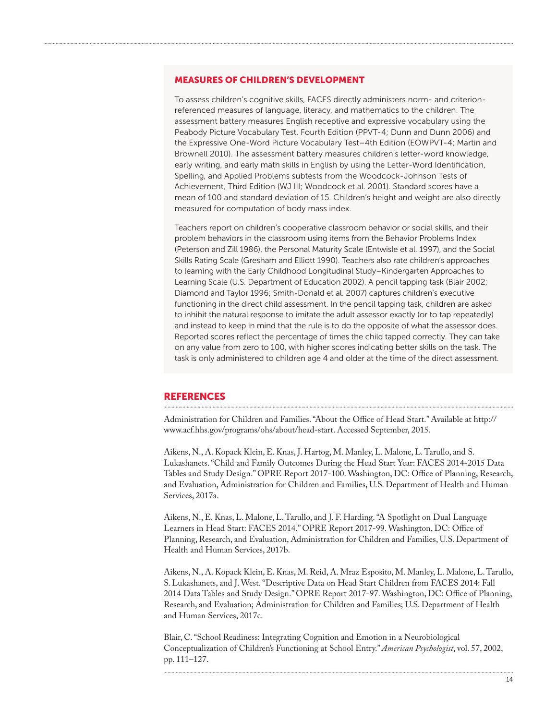# MEASURES OF CHILDREN'S DEVELOPMENT

To assess children's cognitive skills, FACES directly administers norm- and criterionreferenced measures of language, literacy, and mathematics to the children. The assessment battery measures English receptive and expressive vocabulary using the Peabody Picture Vocabulary Test, Fourth Edition (PPVT-4; Dunn and Dunn 2006) and the Expressive One-Word Picture Vocabulary Test–4th Edition (EOWPVT-4; Martin and Brownell 2010). The assessment battery measures children's letter-word knowledge, early writing, and early math skills in English by using the Letter-Word Identification, Spelling, and Applied Problems subtests from the Woodcock-Johnson Tests of Achievement, Third Edition (WJ III; Woodcock et al. 2001). Standard scores have a mean of 100 and standard deviation of 15. Children's height and weight are also directly measured for computation of body mass index.

Teachers report on children's cooperative classroom behavior or social skills, and their problem behaviors in the classroom using items from the Behavior Problems Index (Peterson and Zill 1986), the Personal Maturity Scale (Entwisle et al. 1997), and the Social Skills Rating Scale (Gresham and Elliott 1990). Teachers also rate children's approaches to learning with the Early Childhood Longitudinal Study–Kindergarten Approaches to Learning Scale (U.S. Department of Education 2002). A pencil tapping task (Blair 2002; Diamond and Taylor 1996; Smith-Donald et al. 2007) captures children's executive functioning in the direct child assessment. In the pencil tapping task, children are asked to inhibit the natural response to imitate the adult assessor exactly (or to tap repeatedly) and instead to keep in mind that the rule is to do the opposite of what the assessor does. Reported scores reflect the percentage of times the child tapped correctly. They can take on any value from zero to 100, with higher scores indicating better skills on the task. The task is only administered to children age 4 and older at the time of the direct assessment.

# **REFERENCES**

Administration for Children and Families. "About the Office of Head Start." Available at [http://](http://www.acf.hhs.gov/programs/ohs/about/head-start) [www.acf.hhs.gov/programs/ohs/about/head-start](http://www.acf.hhs.gov/programs/ohs/about/head-start). Accessed September, 2015.

Aikens, N., A. Kopack Klein, E. Knas, J. Hartog, M. Manley, L. Malone, L. Tarullo, and S. Lukashanets. "Child and Family Outcomes During the Head Start Year: FACES 2014-2015 Data Tables and Study Design." OPRE Report 2017-100. Washington, DC: Office of Planning, Research, and Evaluation, Administration for Children and Families, U.S. Department of Health and Human Services, 2017a.

Aikens, N., E. Knas, L. Malone, L. Tarullo, and J. F. Harding. "A Spotlight on Dual Language Learners in Head Start: FACES 2014." OPRE Report 2017-99. Washington, DC: Office of Planning, Research, and Evaluation, Administration for Children and Families, U.S. Department of Health and Human Services, 2017b.

Aikens, N., A. Kopack Klein, E. Knas, M. Reid, A. Mraz Esposito, M. Manley, L. Malone, L. Tarullo, S. Lukashanets, and J. West. "Descriptive Data on Head Start Children from FACES 2014: Fall 2014 Data Tables and Study Design." OPRE Report 2017-97. Washington, DC: Office of Planning, Research, and Evaluation; Administration for Children and Families; U.S. Department of Health and Human Services, 2017c.

Blair, C. "School Readiness: Integrating Cognition and Emotion in a Neurobiological Conceptualization of Children's Functioning at School Entry." *American Psychologist*, vol. 57, 2002, pp. 111–127.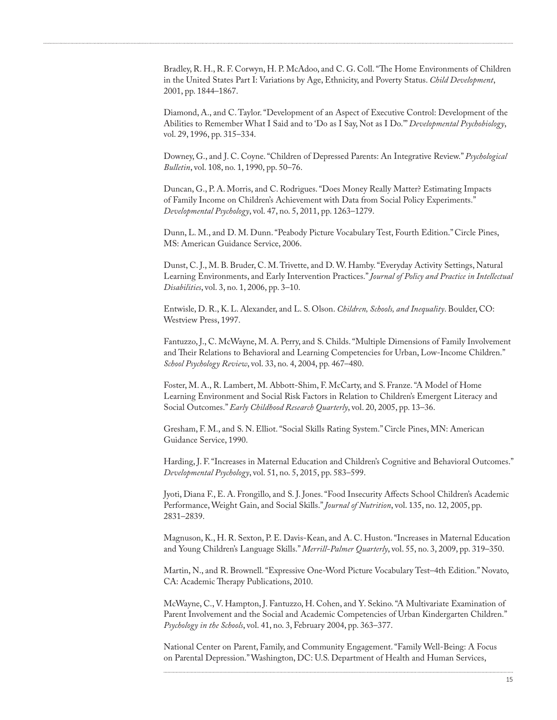Bradley, R. H., R. F. Corwyn, H. P. McAdoo, and C. G. Coll. "The Home Environments of Children in the United States Part I: Variations by Age, Ethnicity, and Poverty Status. *Child Development*, 2001, pp. 1844–1867.

Diamond, A., and C. Taylor. "Development of an Aspect of Executive Control: Development of the Abilities to Remember What I Said and to 'Do as I Say, Not as I Do.'" *Developmental Psychobiology*, vol. 29, 1996, pp. 315–334.

Downey, G., and J. C. Coyne. "Children of Depressed Parents: An Integrative Review." *Psychological Bulletin*, vol. 108, no. 1, 1990, pp. 50–76.

Duncan, G., P. A. Morris, and C. Rodrigues. "Does Money Really Matter? Estimating Impacts of Family Income on Children's Achievement with Data from Social Policy Experiments." *Developmental Psychology*, vol. 47, no. 5, 2011, pp. 1263–1279.

Dunn, L. M., and D. M. Dunn. "Peabody Picture Vocabulary Test, Fourth Edition." Circle Pines, MS: American Guidance Service, 2006.

Dunst, C. J., M. B. Bruder, C. M. Trivette, and D. W. Hamby. "Everyday Activity Settings, Natural Learning Environments, and Early Intervention Practices." *Journal of Policy and Practice in Intellectual Disabilities*, vol. 3, no. 1, 2006, pp. 3–10.

Entwisle, D. R., K. L. Alexander, and L. S. Olson. *Children, Schools, and Inequality*. Boulder, CO: Westview Press, 1997.

Fantuzzo, J., C. McWayne, M. A. Perry, and S. Childs. "Multiple Dimensions of Family Involvement and Their Relations to Behavioral and Learning Competencies for Urban, Low-Income Children." *School Psychology Review*, vol. 33, no. 4, 2004, pp. 467–480.

Foster, M. A., R. Lambert, M. Abbott-Shim, F. McCarty, and S. Franze. "A Model of Home Learning Environment and Social Risk Factors in Relation to Children's Emergent Literacy and Social Outcomes." *Early Childhood Research Quarterly*, vol. 20, 2005, pp. 13–36.

Gresham, F. M., and S. N. Elliot. "Social Skills Rating System." Circle Pines, MN: American Guidance Service, 1990.

Harding, J. F. "Increases in Maternal Education and Children's Cognitive and Behavioral Outcomes." *Developmental Psychology*, vol. 51, no. 5, 2015, pp. 583–599.

Jyoti, Diana F., E. A. Frongillo, and S. J. Jones. "Food Insecurity Affects School Children's Academic Performance, Weight Gain, and Social Skills." *Journal of Nutrition*, vol. 135, no. 12, 2005, pp. 2831–2839.

Magnuson, K., H. R. Sexton, P. E. Davis-Kean, and A. C. Huston. "Increases in Maternal Education and Young Children's Language Skills." *Merrill-Palmer Quarterly*, vol. 55, no. 3, 2009, pp. 319–350.

Martin, N., and R. Brownell. "Expressive One-Word Picture Vocabulary Test–4th Edition." Novato, CA: Academic Therapy Publications, 2010.

McWayne, C., V. Hampton, J. Fantuzzo, H. Cohen, and Y. Sekino. "A Multivariate Examination of Parent Involvement and the Social and Academic Competencies of Urban Kindergarten Children." *Psychology in the Schools*, vol. 41, no. 3, February 2004, pp. 363–377.

National Center on Parent, Family, and Community Engagement. "Family Well-Being: A Focus on Parental Depression." Washington, DC: U.S. Department of Health and Human Services,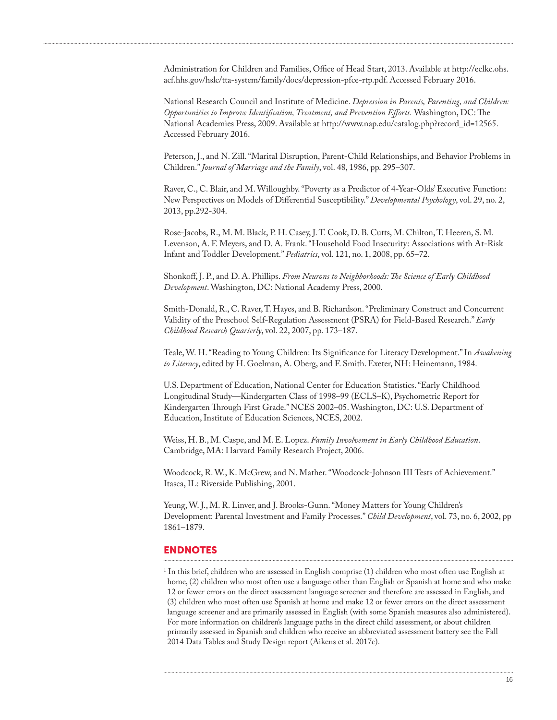Administration for Children and Families, Office of Head Start, 2013. Available at [http://eclkc.ohs.](http://eclkc.ohs.acf.hhs.gov/hslc/tta-system/family/docs/depression-pfce-rtp.pdf) [acf.hhs.gov/hslc/tta-system/family/docs/depression-pfce-rtp.pdf](http://eclkc.ohs.acf.hhs.gov/hslc/tta-system/family/docs/depression-pfce-rtp.pdf). Accessed February 2016.

National Research Council and Institute of Medicine. *Depression in Parents, Parenting, and Children: Opportunities to Improve Identification, Treatment, and Prevention Efforts.* Washington, DC: The National Academies Press, 2009. Available at [http://www.nap.edu/catalog.php?record\\_id=12565.](http://www.nap.edu/catalog.php?record_id=12565) Accessed February 2016.

Peterson, J., and N. Zill. "Marital Disruption, Parent-Child Relationships, and Behavior Problems in Children." *Journal of Marriage and the Family*, vol. 48, 1986, pp. 295–307.

Raver, C., C. Blair, and M. Willoughby. "Poverty as a Predictor of 4-Year-Olds' Executive Function: New Perspectives on Models of Differential Susceptibility." *Developmental Psychology*, vol. 29, no. 2, 2013, pp.292-304.

Rose-Jacobs, R., M. M. Black, P. H. Casey, J. T. Cook, D. B. Cutts, M. Chilton, T. Heeren, S. M. Levenson, A. F. Meyers, and D. A. Frank. "Household Food Insecurity: Associations with At-Risk Infant and Toddler Development." *Pediatrics*, vol. 121, no. 1, 2008, pp. 65–72.

Shonkoff, J. P., and D. A. Phillips. *From Neurons to Neighborhoods: The Science of Early Childhood Development*. Washington, DC: National Academy Press, 2000.

Smith-Donald, R., C. Raver, T. Hayes, and B. Richardson. "Preliminary Construct and Concurrent Validity of the Preschool Self-Regulation Assessment (PSRA) for Field-Based Research." *Early Childhood Research Quarterly*, vol. 22, 2007, pp. 173–187.

Teale, W. H. "Reading to Young Children: Its Significance for Literacy Development." In *Awakening to Literacy*, edited by H. Goelman, A. Oberg, and F. Smith. Exeter, NH: Heinemann, 1984.

U.S. Department of Education, National Center for Education Statistics. "Early Childhood Longitudinal Study—Kindergarten Class of 1998–99 (ECLS–K), Psychometric Report for Kindergarten Through First Grade." NCES 2002–05. Washington, DC: U.S. Department of Education, Institute of Education Sciences, NCES, 2002.

Weiss, H. B., M. Caspe, and M. E. Lopez. *Family Involvement in Early Childhood Education*. Cambridge, MA: Harvard Family Research Project, 2006.

Woodcock, R. W., K. McGrew, and N. Mather. "Woodcock-Johnson III Tests of Achievement." Itasca, IL: Riverside Publishing, 2001.

Yeung, W. J., M. R. Linver, and J. Brooks-Gunn. "Money Matters for Young Children's Development: Parental Investment and Family Processes." *Child Development*, vol. 73, no. 6, 2002, pp 1861–1879.

# ENDNOTES

 $<sup>1</sup>$  In this brief, children who are assessed in English comprise (1) children who most often use English at</sup> home, (2) children who most often use a language other than English or Spanish at home and who make 12 or fewer errors on the direct assessment language screener and therefore are assessed in English, and (3) children who most often use Spanish at home and make 12 or fewer errors on the direct assessment language screener and are primarily assessed in English (with some Spanish measures also administered). For more information on children's language paths in the direct child assessment, or about children primarily assessed in Spanish and children who receive an abbreviated assessment battery see the Fall 2014 Data Tables and Study Design report (Aikens et al. 2017c).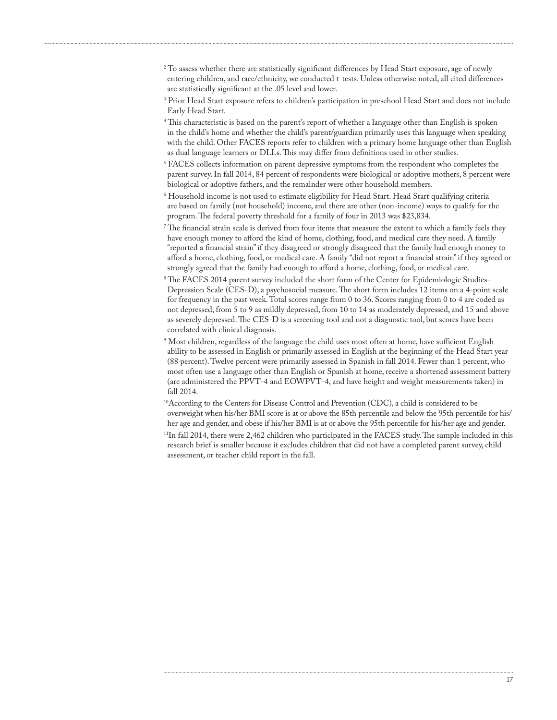- $^{2}$  To assess whether there are statistically significant differences by Head Start exposure, age of newly entering children, and race/ethnicity, we conducted t-tests. Unless otherwise noted, all cited differences are statistically significant at the .05 level and lower.
- 3 Prior Head Start exposure refers to children's participation in preschool Head Start and does not include Early Head Start.
- 4 This characteristic is based on the parent's report of whether a language other than English is spoken in the child's home and whether the child's parent/guardian primarily uses this language when speaking with the child. Other FACES reports refer to children with a primary home language other than English as dual language learners or DLLs. This may differ from definitions used in other studies.
- 5 FACES collects information on parent depressive symptoms from the respondent who completes the parent survey. In fall 2014, 84 percent of respondents were biological or adoptive mothers, 8 percent were biological or adoptive fathers, and the remainder were other household members.
- $^{\rm 6}$  Household income is not used to estimate eligibility for Head Start. Head Start qualifying criteria are based on family (not household) income, and there are other (non-income) ways to qualify for the program. The federal poverty threshold for a family of four in 2013 was \$23,834.
- The financial strain scale is derived from four items that measure the extent to which a family feels they  $\overline{\ }$ have enough money to afford the kind of home, clothing, food, and medical care they need. A family "reported a financial strain" if they disagreed or strongly disagreed that the family had enough money to afford a home, clothing, food, or medical care. A family "did not report a financial strain" if they agreed or strongly agreed that the family had enough to afford a home, clothing, food, or medical care.
- 8 The FACES 2014 parent survey included the short form of the Center for Epidemiologic Studies– Depression Scale (CES-D), a psychosocial measure. The short form includes 12 items on a 4-point scale for frequency in the past week. Total scores range from 0 to 36. Scores ranging from 0 to 4 are coded as not depressed, from 5 to 9 as mildly depressed, from 10 to 14 as moderately depressed, and 15 and above as severely depressed. The CES-D is a screening tool and not a diagnostic tool, but scores have been correlated with clinical diagnosis.
- 9 Most children, regardless of the language the child uses most often at home, have sufficient English ability to be assessed in English or primarily assessed in English at the beginning of the Head Start year (88 percent). Twelve percent were primarily assessed in Spanish in fall 2014. Fewer than 1 percent, who most often use a language other than English or Spanish at home, receive a shortened assessment battery (are administered the PPVT-4 and EOWPVT-4, and have height and weight measurements taken) in fall 2014.
- 10According to the Centers for Disease Control and Prevention (CDC), a child is considered to be overweight when his/her BMI score is at or above the 85th percentile and below the 95th percentile for his/ her age and gender, and obese if his/her BMI is at or above the 95th percentile for his/her age and gender. 11In fall 2014, there were 2,462 children who participated in the FACES study. The sample included in this research brief is smaller because it excludes children that did not have a completed parent survey, child assessment, or teacher child report in the fall.